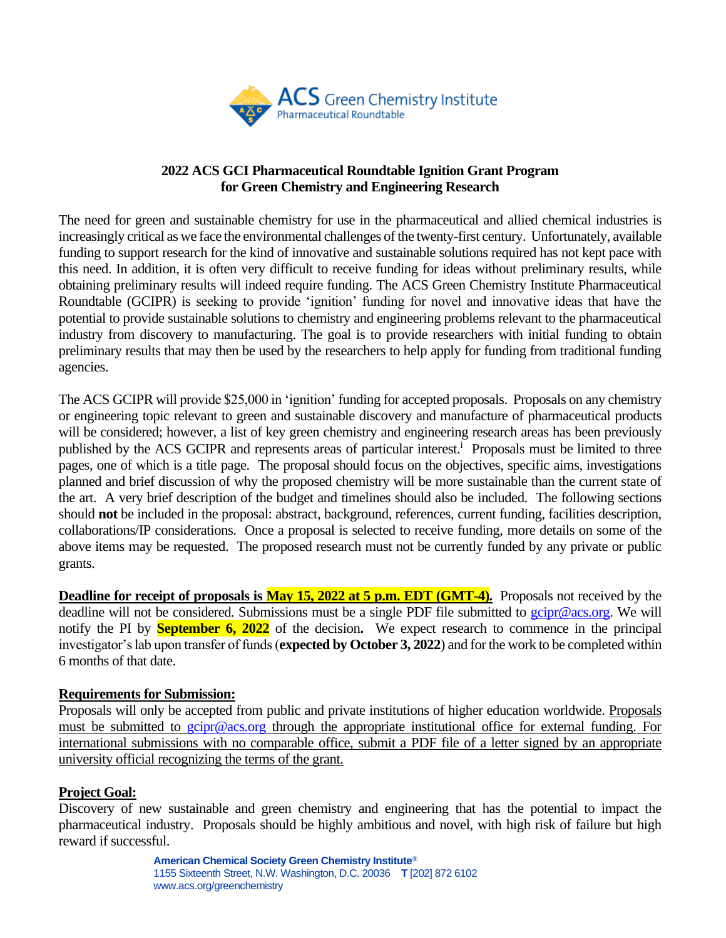

### **2022 ACS GCI Pharmaceutical Roundtable Ignition Grant Program for Green Chemistry and Engineering Research**

The need for green and sustainable chemistry for use in the pharmaceutical and allied chemical industries is increasingly critical as we face the environmental challenges of the twenty-first century. Unfortunately, available funding to support research for the kind of innovative and sustainable solutions required has not kept pace with this need. In addition, it is often very difficult to receive funding for ideas without preliminary results, while obtaining preliminary results will indeed require funding. The ACS Green Chemistry Institute Pharmaceutical Roundtable (GCIPR) is seeking to provide 'ignition' funding for novel and innovative ideas that have the potential to provide sustainable solutions to chemistry and engineering problems relevant to the pharmaceutical industry from discovery to manufacturing. The goal is to provide researchers with initial funding to obtain preliminary results that may then be used by the researchers to help apply for funding from traditional funding agencies.

The ACS GCIPR will provide \$25,000 in 'ignition' funding for accepted proposals. Proposals on any chemistry or engineering topic relevant to green and sustainable discovery and manufacture of pharmaceutical products will be considered; however, a list of key green chemistry and engineering research areas has been previously published by the ACS GCIPR and represents areas of particular interest.<sup>i</sup> Proposals must be limited to three pages, one of which is a title page. The proposal should focus on the objectives, specific aims, investigations planned and brief discussion of why the proposed chemistry will be more sustainable than the current state of the art. A very brief description of the budget and timelines should also be included. The following sections should **not** be included in the proposal: abstract, background, references, current funding, facilities description, collaborations/IP considerations. Once a proposal is selected to receive funding, more details on some of the above items may be requested. The proposed research must not be currently funded by any private or public grants.

**Deadline for receipt of proposals is May 15, 2022 at 5 p.m. EDT (GMT-4).** Proposals not received by the deadline will not be considered. Submissions must be a single PDF file submitted to [gcipr@acs.org.](mailto:gcipr@acs.org) We will notify the PI by **September 6, 2022** of the decision**.** We expect research to commence in the principal investigator's lab upon transfer of funds (**expected by October 3, 2022**) and for the work to be completed within 6 months of that date.

### **Requirements for Submission:**

Proposals will only be accepted from public and private institutions of higher education worldwide. Proposals must be submitted to [gcipr@acs.org](mailto:gcipr@acs.org) through the appropriate institutional office for external funding. For international submissions with no comparable office, submit a PDF file of a letter signed by an appropriate university official recognizing the terms of the grant.

### **Project Goal:**

Discovery of new sustainable and green chemistry and engineering that has the potential to impact the pharmaceutical industry. Proposals should be highly ambitious and novel, with high risk of failure but high reward if successful.

> **American Chemical Society Green Chemistry Institute®** 1155 Sixteenth Street, N.W. Washington, D.C. 20036 **T** [202] 872 6102 www.acs.org/greenchemistry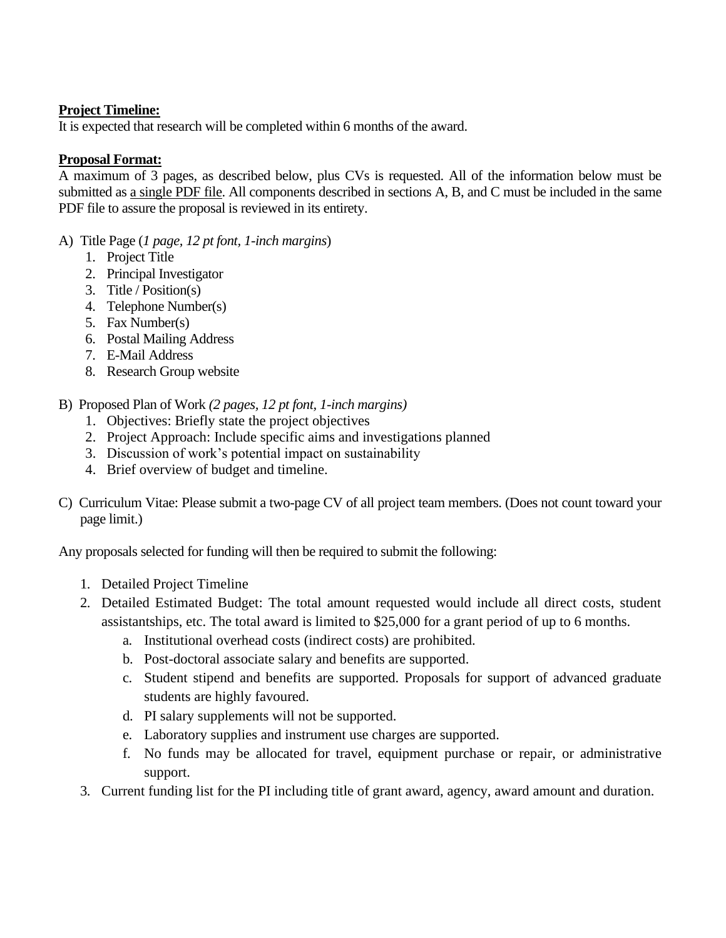# **Project Timeline:**

It is expected that research will be completed within 6 months of the award.

# **Proposal Format:**

A maximum of 3 pages, as described below, plus CVs is requested. All of the information below must be submitted as a single PDF file. All components described in sections A, B, and C must be included in the same PDF file to assure the proposal is reviewed in its entirety.

- A) Title Page (*1 page, 12 pt font, 1-inch margins*)
	- 1. Project Title
	- 2. Principal Investigator
	- 3. Title / Position(s)
	- 4. Telephone Number(s)
	- 5. Fax Number(s)
	- 6. Postal Mailing Address
	- 7. E-Mail Address
	- 8. Research Group website
- B) Proposed Plan of Work *(2 pages, 12 pt font, 1-inch margins)* 
	- 1. Objectives: Briefly state the project objectives
	- 2. Project Approach: Include specific aims and investigations planned
	- 3. Discussion of work's potential impact on sustainability
	- 4. Brief overview of budget and timeline.
- C) Curriculum Vitae: Please submit a two-page CV of all project team members. (Does not count toward your page limit.)

Any proposals selected for funding will then be required to submit the following:

- 1. Detailed Project Timeline
- 2. Detailed Estimated Budget: The total amount requested would include all direct costs, student assistantships, etc. The total award is limited to \$25,000 for a grant period of up to 6 months.
	- a. Institutional overhead costs (indirect costs) are prohibited.
	- b. Post-doctoral associate salary and benefits are supported.
	- c. Student stipend and benefits are supported. Proposals for support of advanced graduate students are highly favoured.
	- d. PI salary supplements will not be supported.
	- e. Laboratory supplies and instrument use charges are supported.
	- f. No funds may be allocated for travel, equipment purchase or repair, or administrative support.
- 3. Current funding list for the PI including title of grant award, agency, award amount and duration.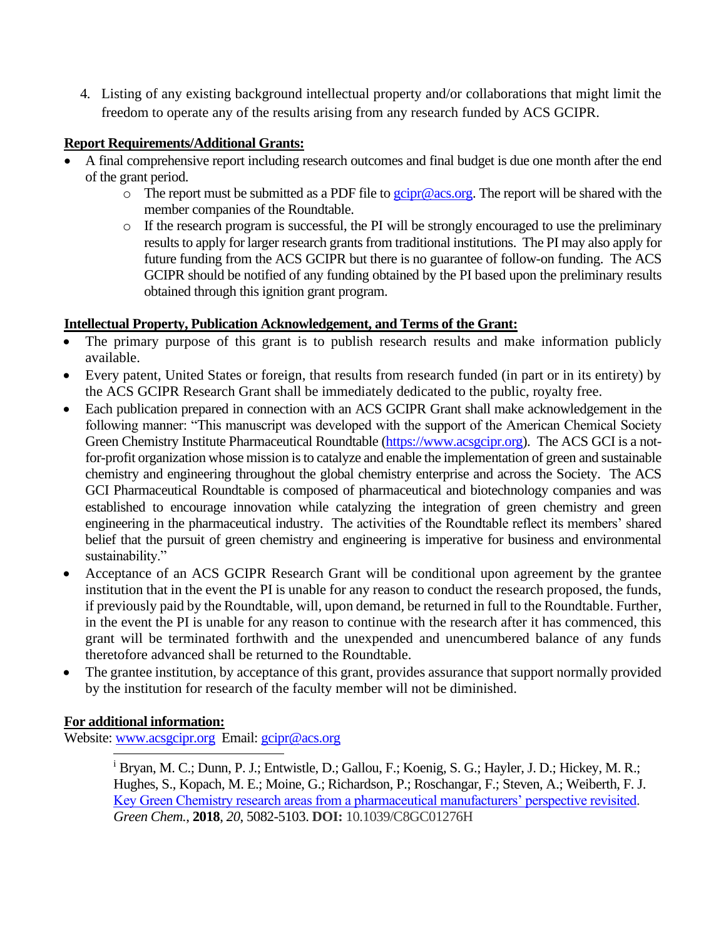4. Listing of any existing background intellectual property and/or collaborations that might limit the freedom to operate any of the results arising from any research funded by ACS GCIPR.

# **Report Requirements/Additional Grants:**

- A final comprehensive report including research outcomes and final budget is due one month after the end of the grant period.
	- $\circ$  The report must be submitted as a PDF file to [gcipr@acs.org.](mailto:gcipr@acs.org) The report will be shared with the member companies of the Roundtable.
	- o If the research program is successful, the PI will be strongly encouraged to use the preliminary results to apply for larger research grants from traditional institutions. The PI may also apply for future funding from the ACS GCIPR but there is no guarantee of follow-on funding. The ACS GCIPR should be notified of any funding obtained by the PI based upon the preliminary results obtained through this ignition grant program.

## **Intellectual Property, Publication Acknowledgement, and Terms of the Grant:**

- The primary purpose of this grant is to publish research results and make information publicly available.
- Every patent, United States or foreign, that results from research funded (in part or in its entirety) by the ACS GCIPR Research Grant shall be immediately dedicated to the public, royalty free.
- Each publication prepared in connection with an ACS GCIPR Grant shall make acknowledgement in the following manner: "This manuscript was developed with the support of the American Chemical Society Green Chemistry Institute Pharmaceutical Roundtable [\(https://www.acsgcipr.org\)](https://www.acsgcipr.org/). The ACS GCI is a notfor-profit organization whose mission is to catalyze and enable the implementation of green and sustainable chemistry and engineering throughout the global chemistry enterprise and across the Society. The ACS GCI Pharmaceutical Roundtable is composed of pharmaceutical and biotechnology companies and was established to encourage innovation while catalyzing the integration of green chemistry and green engineering in the pharmaceutical industry. The activities of the Roundtable reflect its members' shared belief that the pursuit of green chemistry and engineering is imperative for business and environmental sustainability."
- Acceptance of an ACS GCIPR Research Grant will be conditional upon agreement by the grantee institution that in the event the PI is unable for any reason to conduct the research proposed, the funds, if previously paid by the Roundtable, will, upon demand, be returned in full to the Roundtable. Further, in the event the PI is unable for any reason to continue with the research after it has commenced, this grant will be terminated forthwith and the unexpended and unencumbered balance of any funds theretofore advanced shall be returned to the Roundtable.
- The grantee institution, by acceptance of this grant, provides assurance that support normally provided by the institution for research of the faculty member will not be diminished.

## **For additional information:**

Website: [www.acsgcipr.org](http://www.acsgcipr.org/)Email: [gcipr@acs.org](mailto:gcipr@acs.org)

<sup>i</sup> Bryan, M. C.; Dunn, P. J.; Entwistle, D.; Gallou, F.; Koenig, S. G.; Hayler, J. D.; Hickey, M. R.; Hughes, S., Kopach, M. E.; Moine, G.; Richardson, P.; Roschangar, F.; Steven, A.; Weiberth, F. J. [Key Green Chemistry research areas from a pharmaceutical manufacturers' perspective revisited.](https://doi.org/10.1039/C8GC01276H) *Green Chem.*, **2018**, *20*, 5082-5103. **DOI:** 10.1039/C8GC01276H